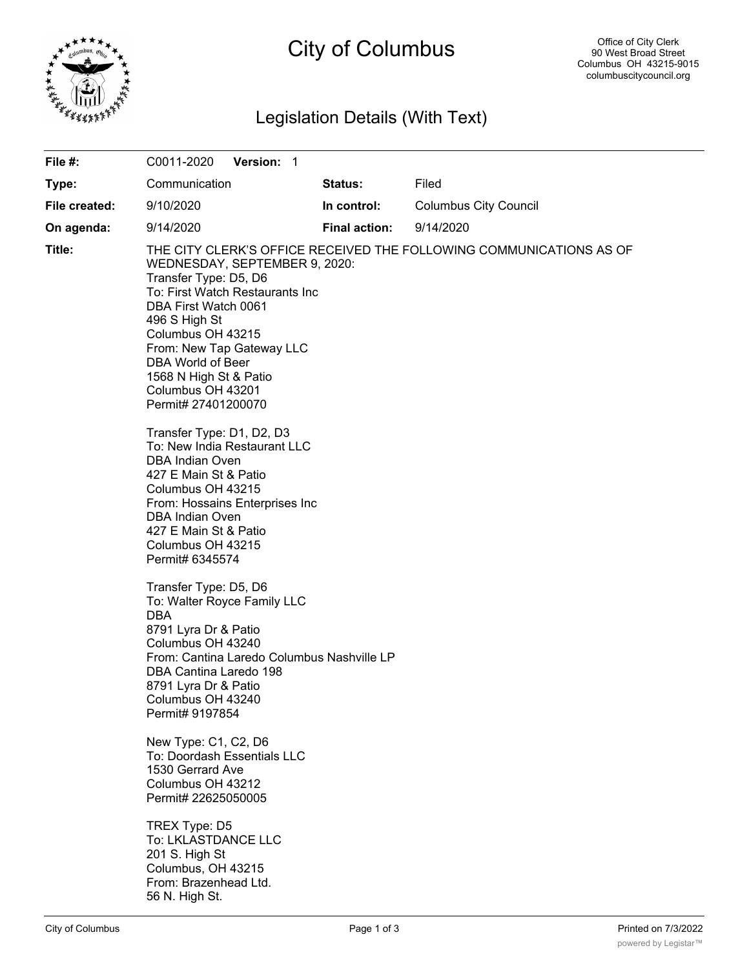

# City of Columbus

# Legislation Details (With Text)

| File #:       | Version: 1<br>C0011-2020                                                                                                                                                                                                                                                        |                      |                                                                     |
|---------------|---------------------------------------------------------------------------------------------------------------------------------------------------------------------------------------------------------------------------------------------------------------------------------|----------------------|---------------------------------------------------------------------|
| Type:         | Communication                                                                                                                                                                                                                                                                   | <b>Status:</b>       | Filed                                                               |
| File created: | 9/10/2020                                                                                                                                                                                                                                                                       | In control:          | <b>Columbus City Council</b>                                        |
| On agenda:    | 9/14/2020                                                                                                                                                                                                                                                                       | <b>Final action:</b> | 9/14/2020                                                           |
| Title:        | WEDNESDAY, SEPTEMBER 9, 2020:<br>Transfer Type: D5, D6<br>To: First Watch Restaurants Inc<br>DBA First Watch 0061<br>496 S High St<br>Columbus OH 43215<br>From: New Tap Gateway LLC<br>DBA World of Beer<br>1568 N High St & Patio<br>Columbus OH 43201<br>Permit# 27401200070 |                      | THE CITY CLERK'S OFFICE RECEIVED THE FOLLOWING COMMUNICATIONS AS OF |
|               | Transfer Type: D1, D2, D3<br>To: New India Restaurant LLC<br><b>DBA Indian Oven</b><br>427 E Main St & Patio<br>Columbus OH 43215<br>From: Hossains Enterprises Inc<br>DBA Indian Oven<br>427 E Main St & Patio<br>Columbus OH 43215<br>Permit# 6345574                         |                      |                                                                     |
|               | Transfer Type: D5, D6<br>To: Walter Royce Family LLC<br><b>DBA</b><br>8791 Lyra Dr & Patio<br>Columbus OH 43240<br>From: Cantina Laredo Columbus Nashville LP<br>DBA Cantina Laredo 198<br>8791 Lyra Dr & Patio<br>Columbus OH 43240<br>Permit# 9197854                         |                      |                                                                     |
|               | New Type: C1, C2, D6<br>To: Doordash Essentials LLC<br>1530 Gerrard Ave<br>Columbus OH 43212<br>Permit# 22625050005                                                                                                                                                             |                      |                                                                     |
|               | TREX Type: D5<br>To: LKLASTDANCE LLC<br>201 S. High St<br>Columbus, OH 43215<br>From: Brazenhead Ltd.<br>56 N. High St.                                                                                                                                                         |                      |                                                                     |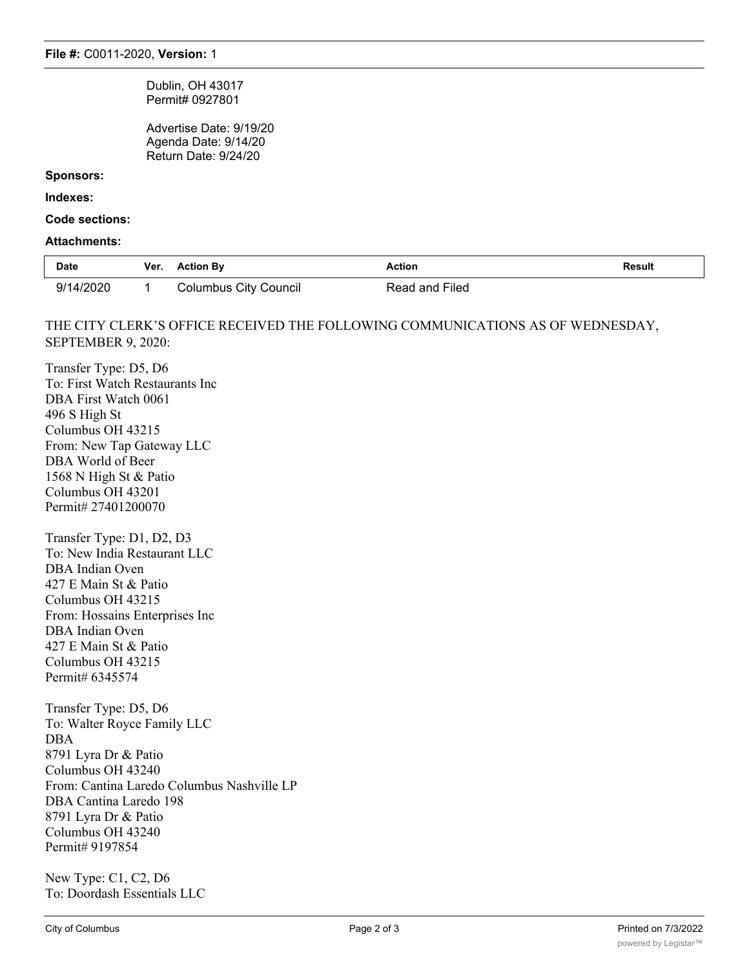Dublin, OH 43017 Permit# 0927801

Advertise Date: 9/19/20 Agenda Date: 9/14/20 Return Date: 9/24/20

#### **Sponsors:**

#### **Indexes:**

**Code sections:**

#### **Attachments:**

| <b>Date</b> | Ver. | <b>Action By</b>             | Action         | <b>Result</b> |
|-------------|------|------------------------------|----------------|---------------|
| 9/14/2020   |      | <b>Columbus City Council</b> | Read and Filed |               |

### THE CITY CLERK'S OFFICE RECEIVED THE FOLLOWING COMMUNICATIONS AS OF WEDNESDAY, SEPTEMBER 9, 2020:

Transfer Type: D5, D6 To: First Watch Restaurants Inc DBA First Watch 0061 496 S High St Columbus OH 43215 From: New Tap Gateway LLC DBA World of Beer 1568 N High St & Patio Columbus OH 43201 Permit# 27401200070 Transfer Type: D1, D2, D3 To: New India Restaurant LLC

DBA Indian Oven 427 E Main St & Patio Columbus OH 43215 From: Hossains Enterprises Inc DBA Indian Oven 427 E Main St & Patio Columbus OH 43215 Permit# 6345574

Transfer Type: D5, D6 To: Walter Royce Family LLC DBA 8791 Lyra Dr & Patio Columbus OH 43240 From: Cantina Laredo Columbus Nashville LP DBA Cantina Laredo 198 8791 Lyra Dr & Patio Columbus OH 43240 Permit# 9197854

New Type: C1, C2, D6 To: Doordash Essentials LLC